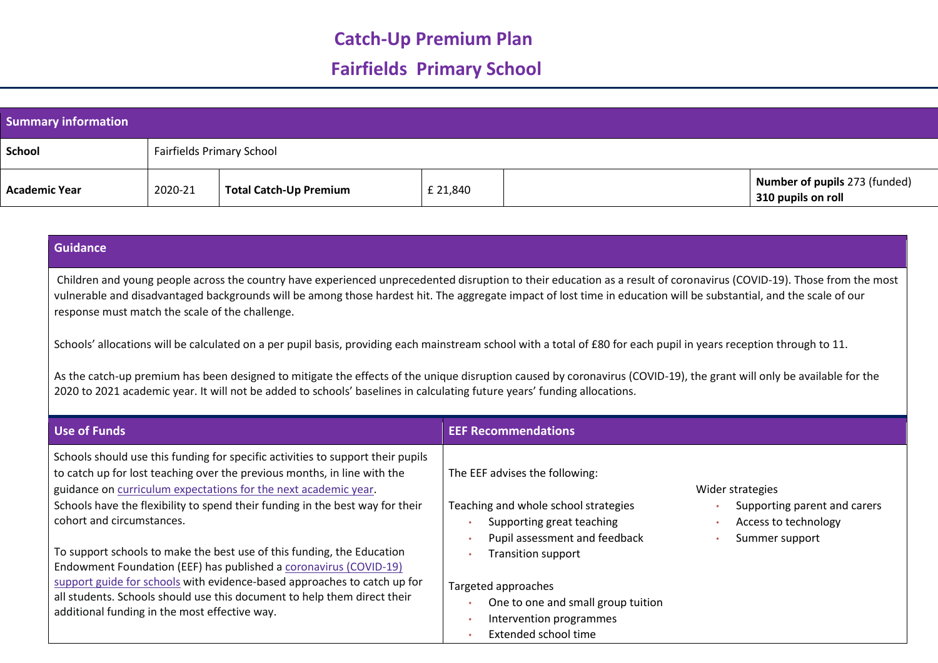## **Catch-Up Premium Plan**

# **Fairfields Primary School**

| <b>Summary information</b> |                           |                               |          |                                                     |
|----------------------------|---------------------------|-------------------------------|----------|-----------------------------------------------------|
| School                     | Fairfields Primary School |                               |          |                                                     |
| <b>Academic Year</b>       | 2020-21                   | <b>Total Catch-Up Premium</b> | £ 21,840 | Number of pupils 273 (funded)<br>310 pupils on roll |

### **Guidance**

 Children and young people across the country have experienced unprecedented disruption to their education as a result of coronavirus (COVID-19). Those from the most vulnerable and disadvantaged backgrounds will be among those hardest hit. The aggregate impact of lost time in education will be substantial, and the scale of our response must match the scale of the challenge.

Schools' allocations will be calculated on a per pupil basis, providing each mainstream school with a total of £80 for each pupil in years reception through to 11.

As the catch-up premium has been designed to mitigate the effects of the unique disruption caused by coronavirus (COVID-19), the grant will only be available for the 2020 to 2021 academic year. It will not be added to schools' baselines in calculating future years' funding allocations.

| Use of Funds                                                                                                                                                                                                                                                                                                                                                                                                           | <b>EEF Recommendations</b>                                                                                                                                                                                                         |
|------------------------------------------------------------------------------------------------------------------------------------------------------------------------------------------------------------------------------------------------------------------------------------------------------------------------------------------------------------------------------------------------------------------------|------------------------------------------------------------------------------------------------------------------------------------------------------------------------------------------------------------------------------------|
| Schools should use this funding for specific activities to support their pupils<br>to catch up for lost teaching over the previous months, in line with the<br>guidance on curriculum expectations for the next academic year.<br>Schools have the flexibility to spend their funding in the best way for their<br>cohort and circumstances.<br>To support schools to make the best use of this funding, the Education | The EEF advises the following:<br>Wider strategies<br>Teaching and whole school strategies<br>Supporting parent and carers<br>Supporting great teaching<br>Access to technology<br>Pupil assessment and feedback<br>Summer support |
| Endowment Foundation (EEF) has published a coronavirus (COVID-19)<br>support guide for schools with evidence-based approaches to catch up for<br>all students. Schools should use this document to help them direct their<br>additional funding in the most effective way.                                                                                                                                             | <b>Transition support</b><br>Targeted approaches<br>One to one and small group tuition<br>Intervention programmes<br>Extended school time                                                                                          |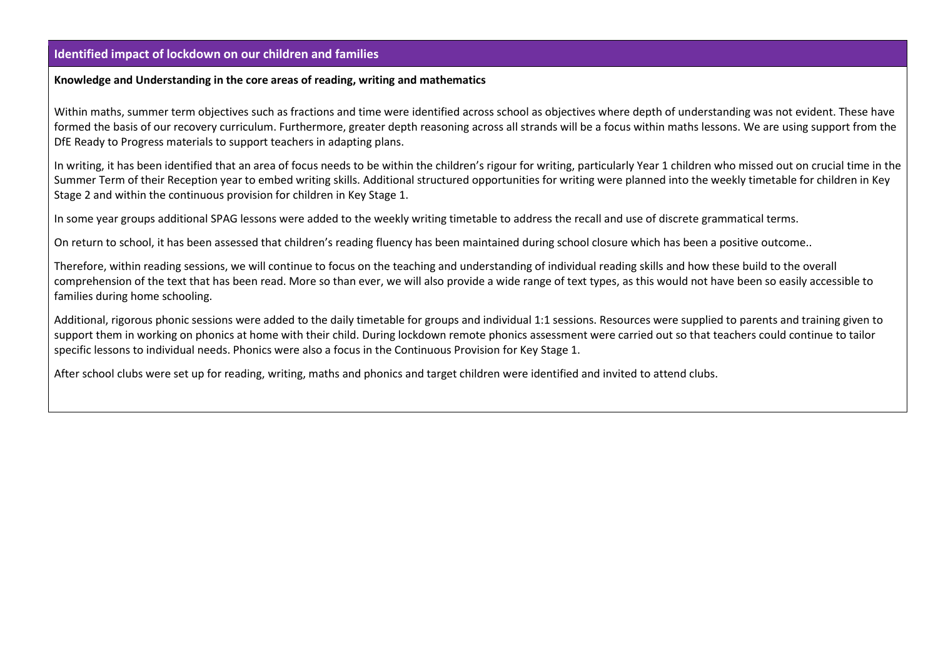#### **Identified impact of lockdown on our children and families**

### **Knowledge and Understanding in the core areas of reading, writing and mathematics**

Within maths, summer term objectives such as fractions and time were identified across school as objectives where depth of understanding was not evident. These have formed the basis of our recovery curriculum. Furthermore, greater depth reasoning across all strands will be a focus within maths lessons. We are using support from the DfE Ready to Progress materials to support teachers in adapting plans.

In writing, it has been identified that an area of focus needs to be within the children's rigour for writing, particularly Year 1 children who missed out on crucial time in the Summer Term of their Reception year to embed writing skills. Additional structured opportunities for writing were planned into the weekly timetable for children in Key Stage 2 and within the continuous provision for children in Key Stage 1.

In some year groups additional SPAG lessons were added to the weekly writing timetable to address the recall and use of discrete grammatical terms.

On return to school, it has been assessed that children's reading fluency has been maintained during school closure which has been a positive outcome..

Therefore, within reading sessions, we will continue to focus on the teaching and understanding of individual reading skills and how these build to the overall comprehension of the text that has been read. More so than ever, we will also provide a wide range of text types, as this would not have been so easily accessible to families during home schooling.

Additional, rigorous phonic sessions were added to the daily timetable for groups and individual 1:1 sessions. Resources were supplied to parents and training given to support them in working on phonics at home with their child. During lockdown remote phonics assessment were carried out so that teachers could continue to tailor specific lessons to individual needs. Phonics were also a focus in the Continuous Provision for Key Stage 1.

After school clubs were set up for reading, writing, maths and phonics and target children were identified and invited to attend clubs.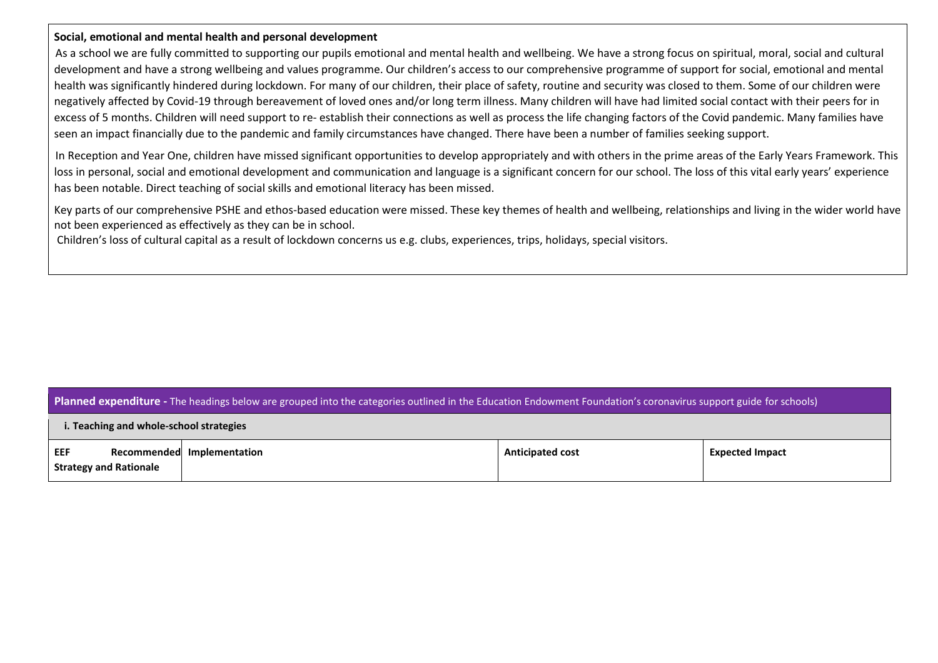#### **Social, emotional and mental health and personal development**

As a school we are fully committed to supporting our pupils emotional and mental health and wellbeing. We have a strong focus on spiritual, moral, social and cultural development and have a strong wellbeing and values programme. Our children's access to our comprehensive programme of support for social, emotional and mental health was significantly hindered during lockdown. For many of our children, their place of safety, routine and security was closed to them. Some of our children were negatively affected by Covid-19 through bereavement of loved ones and/or long term illness. Many children will have had limited social contact with their peers for in excess of 5 months. Children will need support to re- establish their connections as well as process the life changing factors of the Covid pandemic. Many families have seen an impact financially due to the pandemic and family circumstances have changed. There have been a number of families seeking support.

In Reception and Year One, children have missed significant opportunities to develop appropriately and with others in the prime areas of the Early Years Framework. This loss in personal, social and emotional development and communication and language is a significant concern for our school. The loss of this vital early years' experience has been notable. Direct teaching of social skills and emotional literacy has been missed.

Key parts of our comprehensive PSHE and ethos-based education were missed. These key themes of health and wellbeing, relationships and living in the wider world have not been experienced as effectively as they can be in school.

Children's loss of cultural capital as a result of lockdown concerns us e.g. clubs, experiences, trips, holidays, special visitors.

#### **Planned expenditure -** The headings below are grouped into the categories outlined in the Education Endowment Foundation's coronavirus support guide for schools)

| i. Teaching and whole-school strategies |  |
|-----------------------------------------|--|
|-----------------------------------------|--|

| EEF<br>Recommended            | Implementation | <b>Anticipated cost</b> | <b>Expected Impact</b> |
|-------------------------------|----------------|-------------------------|------------------------|
| <b>Strategy and Rationale</b> |                |                         |                        |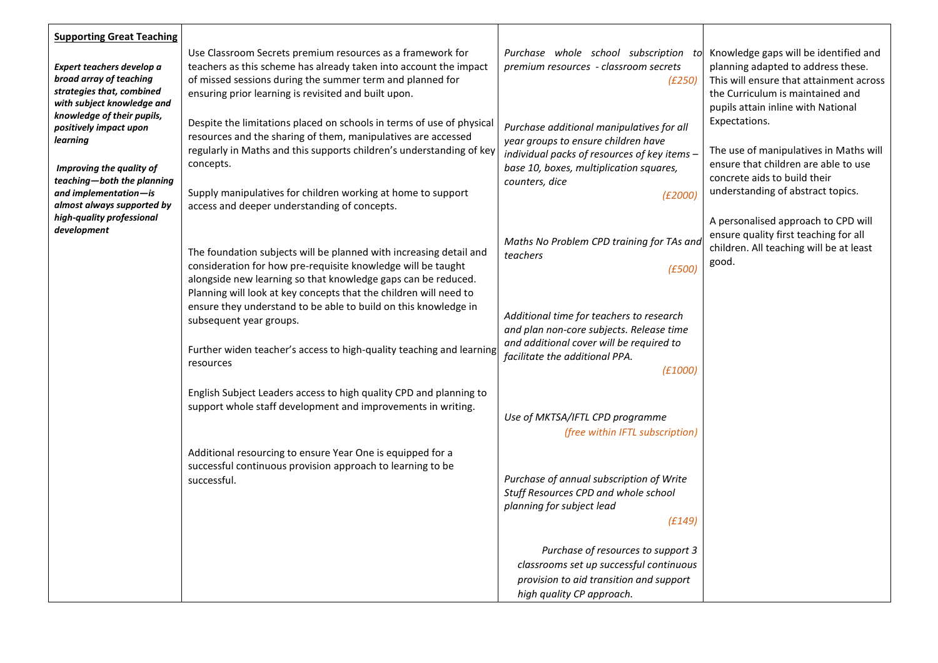| <b>Supporting Great Teaching</b><br>Expert teachers develop a<br>broad array of teaching<br>strategies that, combined<br>with subject knowledge and<br>knowledge of their pupils,<br>positively impact upon<br>learning | Use Classroom Secrets premium resources as a framework for<br>teachers as this scheme has already taken into account the impact<br>of missed sessions during the summer term and planned for<br>ensuring prior learning is revisited and built upon.<br>Despite the limitations placed on schools in terms of use of physical<br>resources and the sharing of them, manipulatives are accessed<br>regularly in Maths and this supports children's understanding of key | Purchase whole school subscription to<br>premium resources - classroom secrets<br>(£250)<br>Purchase additional manipulatives for all<br>year groups to ensure children have<br>individual packs of resources of key items - | Knowledge gaps will be identified and<br>planning adapted to address these.<br>This will ensure that attainment across<br>the Curriculum is maintained and<br>pupils attain inline with National<br>Expectations.<br>The use of manipulatives in Maths will |
|-------------------------------------------------------------------------------------------------------------------------------------------------------------------------------------------------------------------------|------------------------------------------------------------------------------------------------------------------------------------------------------------------------------------------------------------------------------------------------------------------------------------------------------------------------------------------------------------------------------------------------------------------------------------------------------------------------|------------------------------------------------------------------------------------------------------------------------------------------------------------------------------------------------------------------------------|-------------------------------------------------------------------------------------------------------------------------------------------------------------------------------------------------------------------------------------------------------------|
| Improving the quality of<br>teaching-both the planning<br>and implementation-is<br>almost always supported by                                                                                                           | concepts.<br>Supply manipulatives for children working at home to support<br>access and deeper understanding of concepts.                                                                                                                                                                                                                                                                                                                                              | base 10, boxes, multiplication squares,<br>counters, dice<br>(E2000)                                                                                                                                                         | ensure that children are able to use<br>concrete aids to build their<br>understanding of abstract topics.                                                                                                                                                   |
| high-quality professional<br>development                                                                                                                                                                                | The foundation subjects will be planned with increasing detail and<br>consideration for how pre-requisite knowledge will be taught<br>alongside new learning so that knowledge gaps can be reduced.                                                                                                                                                                                                                                                                    | Maths No Problem CPD training for TAs and<br>teachers<br>(E500)                                                                                                                                                              | A personalised approach to CPD will<br>ensure quality first teaching for all<br>children. All teaching will be at least<br>good.                                                                                                                            |
|                                                                                                                                                                                                                         | Planning will look at key concepts that the children will need to<br>ensure they understand to be able to build on this knowledge in<br>subsequent year groups.<br>Further widen teacher's access to high-quality teaching and learning                                                                                                                                                                                                                                | Additional time for teachers to research<br>and plan non-core subjects. Release time<br>and additional cover will be required to                                                                                             |                                                                                                                                                                                                                                                             |
|                                                                                                                                                                                                                         | resources                                                                                                                                                                                                                                                                                                                                                                                                                                                              | facilitate the additional PPA.<br>(E1000)                                                                                                                                                                                    |                                                                                                                                                                                                                                                             |
|                                                                                                                                                                                                                         | English Subject Leaders access to high quality CPD and planning to<br>support whole staff development and improvements in writing.                                                                                                                                                                                                                                                                                                                                     | Use of MKTSA/IFTL CPD programme<br>(free within IFTL subscription)                                                                                                                                                           |                                                                                                                                                                                                                                                             |
|                                                                                                                                                                                                                         | Additional resourcing to ensure Year One is equipped for a<br>successful continuous provision approach to learning to be<br>successful.                                                                                                                                                                                                                                                                                                                                | Purchase of annual subscription of Write<br>Stuff Resources CPD and whole school<br>planning for subject lead<br>(E149)                                                                                                      |                                                                                                                                                                                                                                                             |
|                                                                                                                                                                                                                         |                                                                                                                                                                                                                                                                                                                                                                                                                                                                        | Purchase of resources to support 3<br>classrooms set up successful continuous<br>provision to aid transition and support<br>high quality CP approach.                                                                        |                                                                                                                                                                                                                                                             |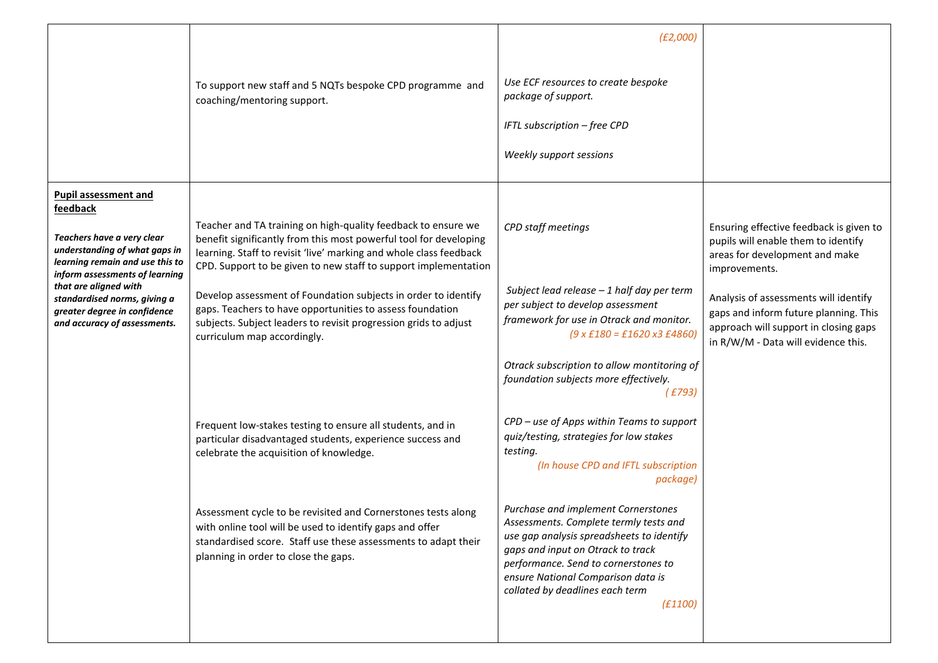|                                                                                                                                                                             |                                                                                                                                                                                                                                                                             | (E2,000)                                                                                                                                                                                                                                                                                    |                                                                                                                                                                |
|-----------------------------------------------------------------------------------------------------------------------------------------------------------------------------|-----------------------------------------------------------------------------------------------------------------------------------------------------------------------------------------------------------------------------------------------------------------------------|---------------------------------------------------------------------------------------------------------------------------------------------------------------------------------------------------------------------------------------------------------------------------------------------|----------------------------------------------------------------------------------------------------------------------------------------------------------------|
|                                                                                                                                                                             | To support new staff and 5 NQTs bespoke CPD programme and<br>coaching/mentoring support.                                                                                                                                                                                    | Use ECF resources to create bespoke<br>package of support.<br>IFTL subscription - free CPD<br>Weekly support sessions                                                                                                                                                                       |                                                                                                                                                                |
|                                                                                                                                                                             |                                                                                                                                                                                                                                                                             |                                                                                                                                                                                                                                                                                             |                                                                                                                                                                |
| <b>Pupil assessment and</b><br>feedback<br>Teachers have a very clear<br>understanding of what gaps in<br>learning remain and use this to<br>inform assessments of learning | Teacher and TA training on high-quality feedback to ensure we<br>benefit significantly from this most powerful tool for developing<br>learning. Staff to revisit 'live' marking and whole class feedback<br>CPD. Support to be given to new staff to support implementation | CPD staff meetings                                                                                                                                                                                                                                                                          | Ensuring effective feedback is given to<br>pupils will enable them to identify<br>areas for development and make<br>improvements.                              |
| that are aligned with<br>standardised norms, giving a<br>greater degree in confidence<br>and accuracy of assessments.                                                       | Develop assessment of Foundation subjects in order to identify<br>gaps. Teachers to have opportunities to assess foundation<br>subjects. Subject leaders to revisit progression grids to adjust<br>curriculum map accordingly.                                              | Subject lead release - 1 half day per term<br>per subject to develop assessment<br>framework for use in Otrack and monitor.<br>$(9 \times £180 = £1620 \times 3 £4860)$                                                                                                                     | Analysis of assessments will identify<br>gaps and inform future planning. This<br>approach will support in closing gaps<br>in R/W/M - Data will evidence this. |
|                                                                                                                                                                             |                                                                                                                                                                                                                                                                             | Otrack subscription to allow montitoring of<br>foundation subjects more effectively.<br>(E793)                                                                                                                                                                                              |                                                                                                                                                                |
|                                                                                                                                                                             | Frequent low-stakes testing to ensure all students, and in<br>particular disadvantaged students, experience success and<br>celebrate the acquisition of knowledge.                                                                                                          | CPD - use of Apps within Teams to support<br>quiz/testing, strategies for low stakes<br>testing.<br>(In house CPD and IFTL subscription<br>package)                                                                                                                                         |                                                                                                                                                                |
|                                                                                                                                                                             | Assessment cycle to be revisited and Cornerstones tests along<br>with online tool will be used to identify gaps and offer<br>standardised score. Staff use these assessments to adapt their<br>planning in order to close the gaps.                                         | Purchase and implement Cornerstones<br>Assessments. Complete termly tests and<br>use gap analysis spreadsheets to identify<br>gaps and input on Otrack to track<br>performance. Send to cornerstones to<br>ensure National Comparison data is<br>collated by deadlines each term<br>(E1100) |                                                                                                                                                                |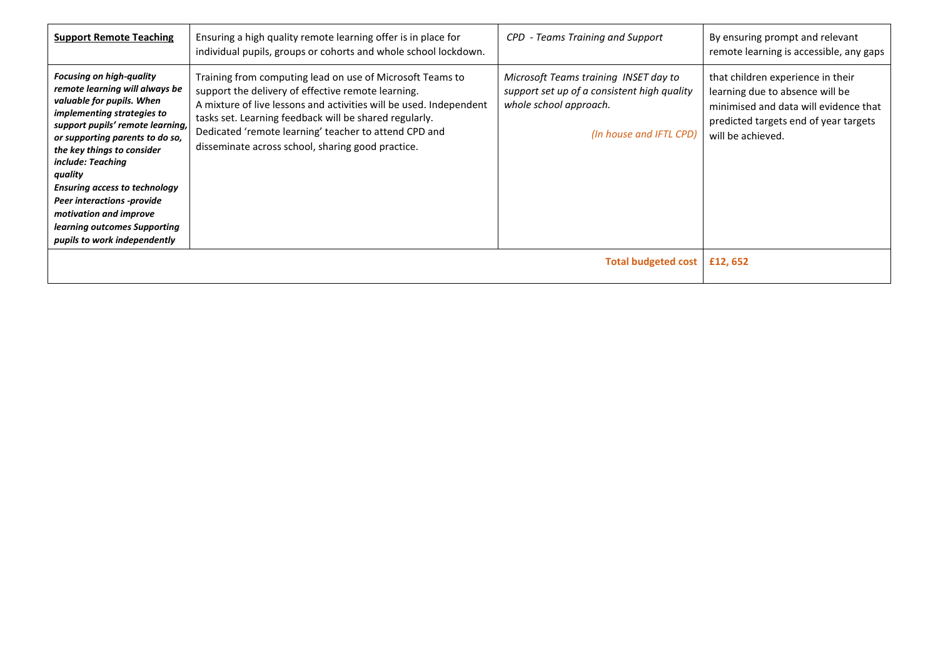| <b>Support Remote Teaching</b>                                                                                                                                                                                                                                                                                                                                                                                                                  | Ensuring a high quality remote learning offer is in place for<br>individual pupils, groups or cohorts and whole school lockdown.                                                                                                                                                                                                                              | CPD - Teams Training and Support                                                                                                          | By ensuring prompt and relevant<br>remote learning is accessible, any gaps                                                                                                  |
|-------------------------------------------------------------------------------------------------------------------------------------------------------------------------------------------------------------------------------------------------------------------------------------------------------------------------------------------------------------------------------------------------------------------------------------------------|---------------------------------------------------------------------------------------------------------------------------------------------------------------------------------------------------------------------------------------------------------------------------------------------------------------------------------------------------------------|-------------------------------------------------------------------------------------------------------------------------------------------|-----------------------------------------------------------------------------------------------------------------------------------------------------------------------------|
| <b>Focusing on high-quality</b><br>remote learning will always be<br>valuable for pupils. When<br><i>implementing strategies to</i><br>support pupils' remote learning,<br>or supporting parents to do so,<br>the key things to consider<br>include: Teaching<br>quality<br><b>Ensuring access to technology</b><br><b>Peer interactions -provide</b><br>motivation and improve<br>learning outcomes Supporting<br>pupils to work independently | Training from computing lead on use of Microsoft Teams to<br>support the delivery of effective remote learning.<br>A mixture of live lessons and activities will be used. Independent<br>tasks set. Learning feedback will be shared regularly.<br>Dedicated 'remote learning' teacher to attend CPD and<br>disseminate across school, sharing good practice. | Microsoft Teams training INSET day to<br>support set up of a consistent high quality<br>whole school approach.<br>(In house and IFTL CPD) | that children experience in their<br>learning due to absence will be<br>minimised and data will evidence that<br>predicted targets end of year targets<br>will be achieved. |
| <b>Total budgeted cost</b>                                                                                                                                                                                                                                                                                                                                                                                                                      |                                                                                                                                                                                                                                                                                                                                                               |                                                                                                                                           | £12,652                                                                                                                                                                     |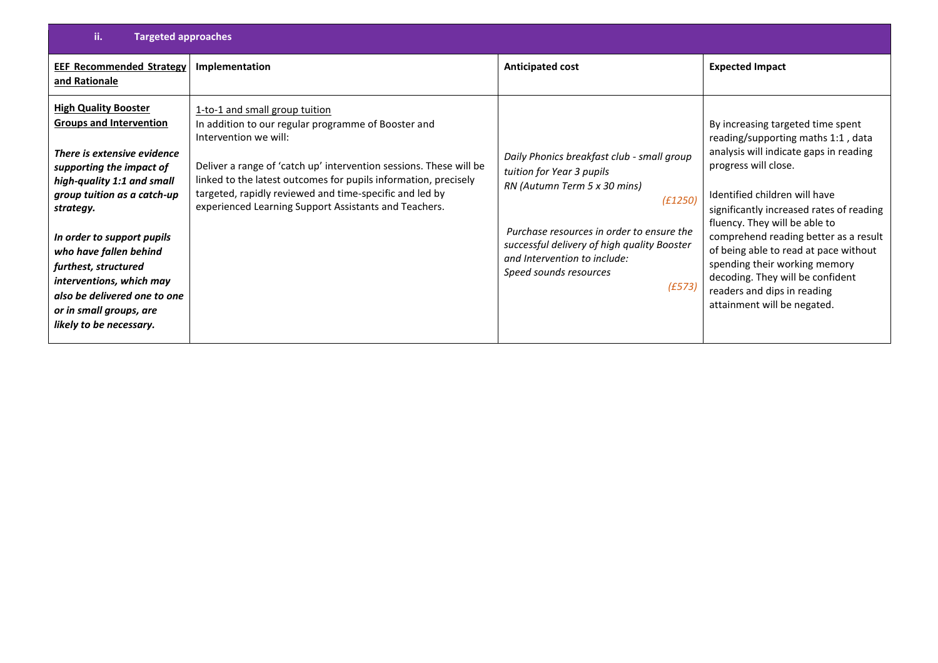| ii.<br><b>Targeted approaches</b>                                                                                                                                                                                                                                                                                                                                                                    |                                                                                                                                                                                                                                                                                                                                                                             |                                                                                                                                                                                                                                                                                    |                                                                                                                                                                                                                                                                                                                                                                                                                                                                              |
|------------------------------------------------------------------------------------------------------------------------------------------------------------------------------------------------------------------------------------------------------------------------------------------------------------------------------------------------------------------------------------------------------|-----------------------------------------------------------------------------------------------------------------------------------------------------------------------------------------------------------------------------------------------------------------------------------------------------------------------------------------------------------------------------|------------------------------------------------------------------------------------------------------------------------------------------------------------------------------------------------------------------------------------------------------------------------------------|------------------------------------------------------------------------------------------------------------------------------------------------------------------------------------------------------------------------------------------------------------------------------------------------------------------------------------------------------------------------------------------------------------------------------------------------------------------------------|
| <b>EEF Recommended Strategy</b><br>and Rationale                                                                                                                                                                                                                                                                                                                                                     | Implementation                                                                                                                                                                                                                                                                                                                                                              | <b>Anticipated cost</b>                                                                                                                                                                                                                                                            | <b>Expected Impact</b>                                                                                                                                                                                                                                                                                                                                                                                                                                                       |
| <b>High Quality Booster</b><br><b>Groups and Intervention</b><br>There is extensive evidence<br>supporting the impact of<br>high-quality 1:1 and small<br>group tuition as a catch-up<br>strategy.<br>In order to support pupils<br>who have fallen behind<br>furthest, structured<br>interventions, which may<br>also be delivered one to one<br>or in small groups, are<br>likely to be necessary. | 1-to-1 and small group tuition<br>In addition to our regular programme of Booster and<br>Intervention we will:<br>Deliver a range of 'catch up' intervention sessions. These will be<br>linked to the latest outcomes for pupils information, precisely<br>targeted, rapidly reviewed and time-specific and led by<br>experienced Learning Support Assistants and Teachers. | Daily Phonics breakfast club - small group<br>tuition for Year 3 pupils<br>RN (Autumn Term 5 x 30 mins)<br>(E1250)<br>Purchase resources in order to ensure the<br>successful delivery of high quality Booster<br>and Intervention to include:<br>Speed sounds resources<br>(E573) | By increasing targeted time spent<br>reading/supporting maths 1:1, data<br>analysis will indicate gaps in reading<br>progress will close.<br>Identified children will have<br>significantly increased rates of reading<br>fluency. They will be able to<br>comprehend reading better as a result<br>of being able to read at pace without<br>spending their working memory<br>decoding. They will be confident<br>readers and dips in reading<br>attainment will be negated. |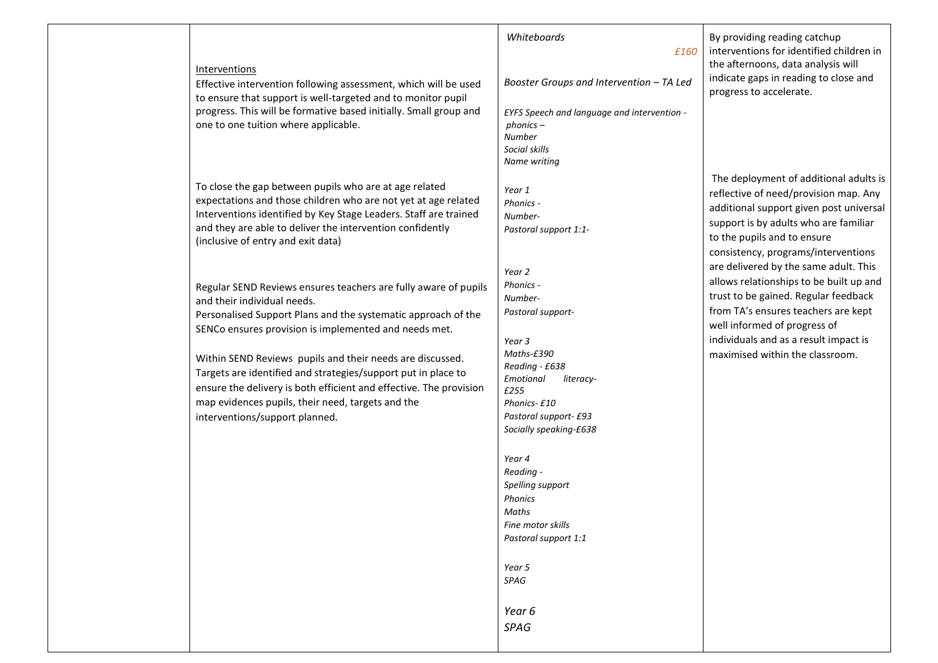| Interventions<br>Effective intervention following assessment, which will be used<br>to ensure that support is well-targeted and to monitor pupil<br>progress. This will be formative based initially. Small group and                                                                           | Whiteboards<br>£160<br>Booster Groups and Intervention - TA Led<br>EYFS Speech and language and intervention -                   | By providing reading catchup<br>interventions for identified children in<br>the afternoons, data analysis will<br>indicate gaps in reading to close and<br>progress to accelerate.                                                        |
|-------------------------------------------------------------------------------------------------------------------------------------------------------------------------------------------------------------------------------------------------------------------------------------------------|----------------------------------------------------------------------------------------------------------------------------------|-------------------------------------------------------------------------------------------------------------------------------------------------------------------------------------------------------------------------------------------|
| one to one tuition where applicable.                                                                                                                                                                                                                                                            | $phonics -$<br><b>Number</b><br>Social skills<br>Name writing                                                                    |                                                                                                                                                                                                                                           |
| To close the gap between pupils who are at age related<br>expectations and those children who are not yet at age related<br>Interventions identified by Key Stage Leaders. Staff are trained<br>and they are able to deliver the intervention confidently<br>(inclusive of entry and exit data) | Year 1<br>Phonics -<br>Number-<br>Pastoral support 1:1-                                                                          | The deployment of additional adults is<br>reflective of need/provision map. Any<br>additional support given post universal<br>support is by adults who are familiar<br>to the pupils and to ensure<br>consistency, programs/interventions |
| Regular SEND Reviews ensures teachers are fully aware of pupils<br>and their individual needs.<br>Personalised Support Plans and the systematic approach of the<br>SENCo ensures provision is implemented and needs met.                                                                        | Year 2<br>Phonics -<br>Number-<br>Pastoral support-<br>Year 3                                                                    | are delivered by the same adult. This<br>allows relationships to be built up and<br>trust to be gained. Regular feedback<br>from TA's ensures teachers are kept<br>well informed of progress of<br>individuals and as a result impact is  |
| Within SEND Reviews pupils and their needs are discussed.<br>Targets are identified and strategies/support put in place to<br>ensure the delivery is both efficient and effective. The provision<br>map evidences pupils, their need, targets and the<br>interventions/support planned.         | Maths-£390<br>Reading - £638<br>Emotional<br>literacy-<br>£255<br>Phonics-£10<br>Pastoral support- £93<br>Socially speaking-£638 | maximised within the classroom.                                                                                                                                                                                                           |
|                                                                                                                                                                                                                                                                                                 | Year 4<br>Reading -<br>Spelling support<br>Phonics<br>Maths<br>Fine motor skills<br>Pastoral support 1:1                         |                                                                                                                                                                                                                                           |
|                                                                                                                                                                                                                                                                                                 | Year 5<br>SPAG<br>Year 6<br>SPAG                                                                                                 |                                                                                                                                                                                                                                           |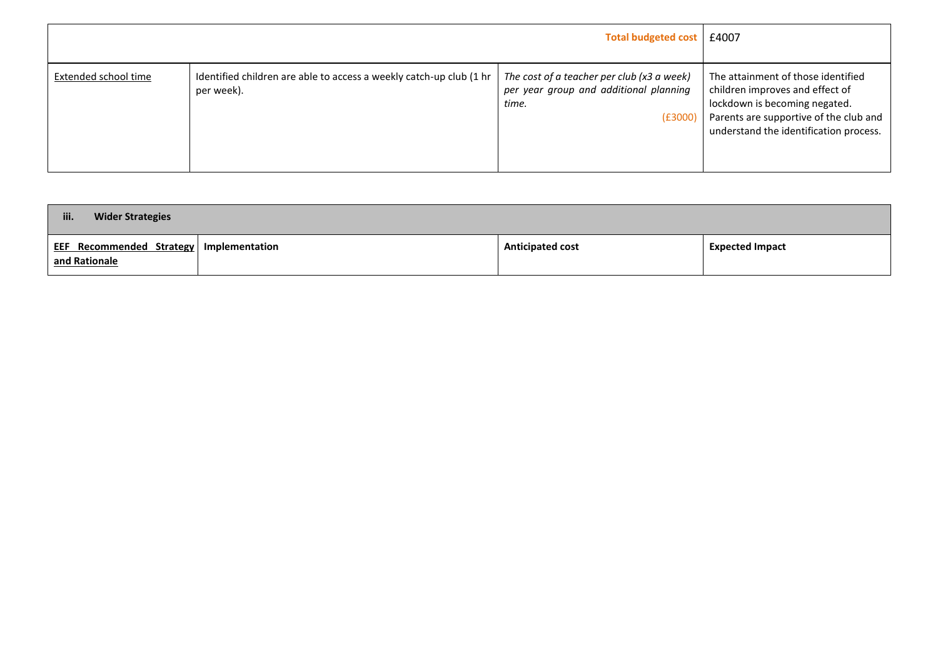|                      | <b>Total budgeted cost</b>                                                        |                                                                                                             | £4007                                                                                                                                                                                      |
|----------------------|-----------------------------------------------------------------------------------|-------------------------------------------------------------------------------------------------------------|--------------------------------------------------------------------------------------------------------------------------------------------------------------------------------------------|
| Extended school time | Identified children are able to access a weekly catch-up club (1 hr<br>per week). | The cost of a teacher per club ( $x3$ a week)<br>per year group and additional planning<br>time.<br>(E3000) | The attainment of those identified<br>children improves and effect of<br>lockdown is becoming negated.<br>Parents are supportive of the club and<br>understand the identification process. |

| iii.<br><b>Wider Strategies</b>                                 |                         |                        |
|-----------------------------------------------------------------|-------------------------|------------------------|
| <b>EEF Recommended Strategy Implementation</b><br>and Rationale | <b>Anticipated cost</b> | <b>Expected Impact</b> |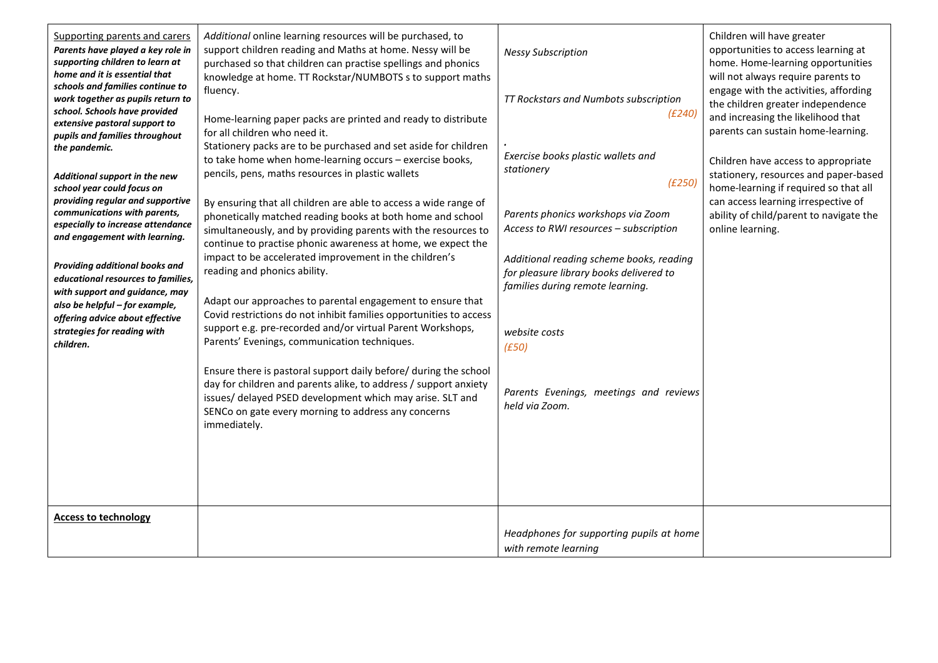| Supporting parents and carers<br>Parents have played a key role in<br>supporting children to learn at<br>home and it is essential that<br>schools and families continue to<br>work together as pupils return to<br>school. Schools have provided<br>extensive pastoral support to<br>pupils and families throughout<br>the pandemic.<br>Additional support in the new<br>school year could focus on<br>providing regular and supportive<br>communications with parents,<br>especially to increase attendance<br>and engagement with learning.<br>Providing additional books and<br>educational resources to families,<br>with support and guidance, may<br>also be helpful - for example,<br>offering advice about effective<br>strategies for reading with<br>children. | Additional online learning resources will be purchased, to<br>support children reading and Maths at home. Nessy will be<br>purchased so that children can practise spellings and phonics<br>knowledge at home. TT Rockstar/NUMBOTS s to support maths<br>fluency.<br>Home-learning paper packs are printed and ready to distribute<br>for all children who need it.<br>Stationery packs are to be purchased and set aside for children<br>to take home when home-learning occurs - exercise books,<br>pencils, pens, maths resources in plastic wallets<br>By ensuring that all children are able to access a wide range of<br>phonetically matched reading books at both home and school<br>simultaneously, and by providing parents with the resources to<br>continue to practise phonic awareness at home, we expect the<br>impact to be accelerated improvement in the children's<br>reading and phonics ability.<br>Adapt our approaches to parental engagement to ensure that<br>Covid restrictions do not inhibit families opportunities to access<br>support e.g. pre-recorded and/or virtual Parent Workshops,<br>Parents' Evenings, communication techniques.<br>Ensure there is pastoral support daily before/ during the school | <b>Nessy Subscription</b><br>TT Rockstars and Numbots subscription<br>(£240)<br>Exercise books plastic wallets and<br>stationery<br>(E250)<br>Parents phonics workshops via Zoom<br>Access to RWI resources - subscription<br>Additional reading scheme books, reading<br>for pleasure library books delivered to<br>families during remote learning.<br>website costs<br>(E50) | Children will have greater<br>opportunities to access learning at<br>home. Home-learning opportunities<br>will not always require parents to<br>engage with the activities, affording<br>the children greater independence<br>and increasing the likelihood that<br>parents can sustain home-learning.<br>Children have access to appropriate<br>stationery, resources and paper-based<br>home-learning if required so that all<br>can access learning irrespective of<br>ability of child/parent to navigate the<br>online learning. |
|--------------------------------------------------------------------------------------------------------------------------------------------------------------------------------------------------------------------------------------------------------------------------------------------------------------------------------------------------------------------------------------------------------------------------------------------------------------------------------------------------------------------------------------------------------------------------------------------------------------------------------------------------------------------------------------------------------------------------------------------------------------------------|---------------------------------------------------------------------------------------------------------------------------------------------------------------------------------------------------------------------------------------------------------------------------------------------------------------------------------------------------------------------------------------------------------------------------------------------------------------------------------------------------------------------------------------------------------------------------------------------------------------------------------------------------------------------------------------------------------------------------------------------------------------------------------------------------------------------------------------------------------------------------------------------------------------------------------------------------------------------------------------------------------------------------------------------------------------------------------------------------------------------------------------------------------------------------------------------------------------------------------------------|---------------------------------------------------------------------------------------------------------------------------------------------------------------------------------------------------------------------------------------------------------------------------------------------------------------------------------------------------------------------------------|---------------------------------------------------------------------------------------------------------------------------------------------------------------------------------------------------------------------------------------------------------------------------------------------------------------------------------------------------------------------------------------------------------------------------------------------------------------------------------------------------------------------------------------|
|                                                                                                                                                                                                                                                                                                                                                                                                                                                                                                                                                                                                                                                                                                                                                                          | day for children and parents alike, to address / support anxiety<br>issues/ delayed PSED development which may arise. SLT and<br>SENCo on gate every morning to address any concerns<br>immediately.                                                                                                                                                                                                                                                                                                                                                                                                                                                                                                                                                                                                                                                                                                                                                                                                                                                                                                                                                                                                                                        | Parents Evenings, meetings and reviews<br>held via Zoom.                                                                                                                                                                                                                                                                                                                        |                                                                                                                                                                                                                                                                                                                                                                                                                                                                                                                                       |
| <b>Access to technology</b>                                                                                                                                                                                                                                                                                                                                                                                                                                                                                                                                                                                                                                                                                                                                              |                                                                                                                                                                                                                                                                                                                                                                                                                                                                                                                                                                                                                                                                                                                                                                                                                                                                                                                                                                                                                                                                                                                                                                                                                                             | Headphones for supporting pupils at home<br>with remote learning                                                                                                                                                                                                                                                                                                                |                                                                                                                                                                                                                                                                                                                                                                                                                                                                                                                                       |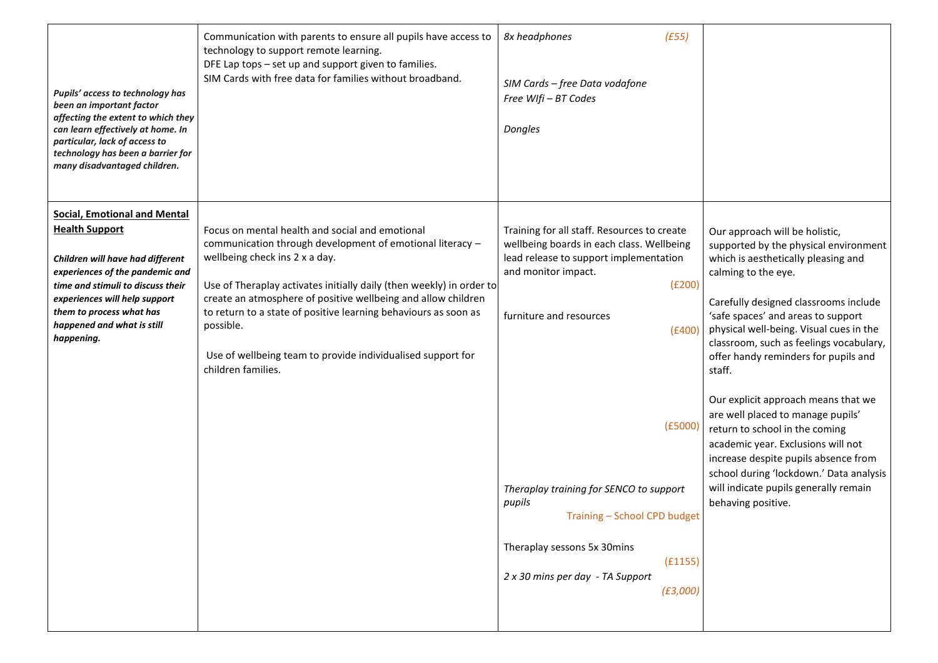| Pupils' access to technology has<br>been an important factor<br>affecting the extent to which they<br>can learn effectively at home. In<br>particular, lack of access to<br>technology has been a barrier for<br>many disadvantaged children.                                     | Communication with parents to ensure all pupils have access to<br>technology to support remote learning.<br>DFE Lap tops - set up and support given to families.<br>SIM Cards with free data for families without broadband.                                                                                                                                                                                                                                 | 8x headphones<br>(E55)<br>SIM Cards - free Data vodafone<br>Free WIfi - BT Codes<br>Dongles                                                                                                                                                                                                                                                                                                        |                                                                                                                                                                                                                                                                                                                                                                                                                                                                                                                                                                                                                                                                    |
|-----------------------------------------------------------------------------------------------------------------------------------------------------------------------------------------------------------------------------------------------------------------------------------|--------------------------------------------------------------------------------------------------------------------------------------------------------------------------------------------------------------------------------------------------------------------------------------------------------------------------------------------------------------------------------------------------------------------------------------------------------------|----------------------------------------------------------------------------------------------------------------------------------------------------------------------------------------------------------------------------------------------------------------------------------------------------------------------------------------------------------------------------------------------------|--------------------------------------------------------------------------------------------------------------------------------------------------------------------------------------------------------------------------------------------------------------------------------------------------------------------------------------------------------------------------------------------------------------------------------------------------------------------------------------------------------------------------------------------------------------------------------------------------------------------------------------------------------------------|
| <b>Social, Emotional and Mental</b><br><b>Health Support</b><br>Children will have had different<br>experiences of the pandemic and<br>time and stimuli to discuss their<br>experiences will help support<br>them to process what has<br>happened and what is still<br>happening. | Focus on mental health and social and emotional<br>communication through development of emotional literacy -<br>wellbeing check ins 2 x a day.<br>Use of Theraplay activates initially daily (then weekly) in order to<br>create an atmosphere of positive wellbeing and allow children<br>to return to a state of positive learning behaviours as soon as<br>possible.<br>Use of wellbeing team to provide individualised support for<br>children families. | Training for all staff. Resources to create<br>wellbeing boards in each class. Wellbeing<br>lead release to support implementation<br>and monitor impact.<br>(E200)<br>furniture and resources<br>(f400)<br>(E5000)<br>Theraplay training for SENCO to support<br>pupils<br>Training - School CPD budget<br>Theraplay sessons 5x 30mins<br>(E1155)<br>2 x 30 mins per day - TA Support<br>(E3,000) | Our approach will be holistic,<br>supported by the physical environment<br>which is aesthetically pleasing and<br>calming to the eye.<br>Carefully designed classrooms include<br>'safe spaces' and areas to support<br>physical well-being. Visual cues in the<br>classroom, such as feelings vocabulary,<br>offer handy reminders for pupils and<br>staff.<br>Our explicit approach means that we<br>are well placed to manage pupils'<br>return to school in the coming<br>academic year. Exclusions will not<br>increase despite pupils absence from<br>school during 'lockdown.' Data analysis<br>will indicate pupils generally remain<br>behaving positive. |